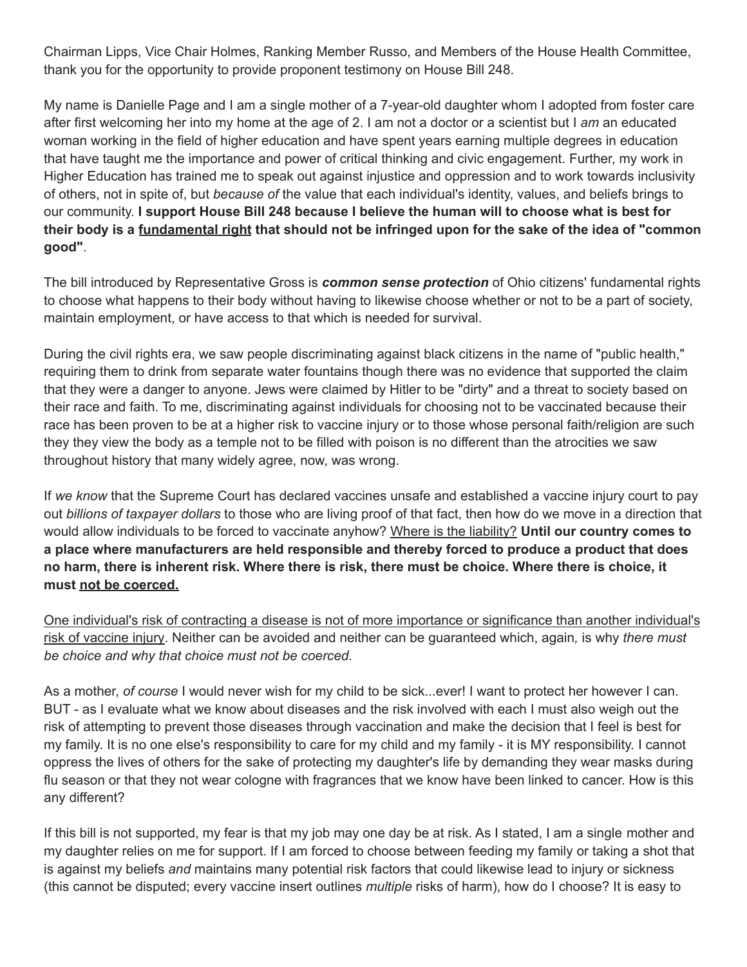Chairman Lipps, Vice Chair Holmes, Ranking Member Russo, and Members of the House Health Committee, thank you for the opportunity to provide proponent testimony on House Bill 248.

My name is Danielle Page and I am a single mother of a 7-year-old daughter whom I adopted from foster care after first welcoming her into my home at the age of 2. I am not a doctor or a scientist but I *am* an educated woman working in the field of higher education and have spent years earning multiple degrees in education that have taught me the importance and power of critical thinking and civic engagement. Further, my work in Higher Education has trained me to speak out against injustice and oppression and to work towards inclusivity of others, not in spite of, but *because of* the value that each individual's identity, values, and beliefs brings to our community. **I support House Bill 248 because I believe the human will to choose what is best for** their body is a fundamental right that should not be infringed upon for the sake of the idea of "common" **good"**.

The bill introduced by Representative Gross is *common sense protection* of Ohio citizens' fundamental rights to choose what happens to their body without having to likewise choose whether or not to be a part of society, maintain employment, or have access to that which is needed for survival.

During the civil rights era, we saw people discriminating against black citizens in the name of "public health," requiring them to drink from separate water fountains though there was no evidence that supported the claim that they were a danger to anyone. Jews were claimed by Hitler to be "dirty" and a threat to society based on their race and faith. To me, discriminating against individuals for choosing not to be vaccinated because their race has been proven to be at a higher risk to vaccine injury or to those whose personal faith/religion are such they they view the body as a temple not to be filled with poison is no different than the atrocities we saw throughout history that many widely agree, now, was wrong.

If *we know* that the Supreme Court has declared vaccines unsafe and established a vaccine injury court to pay out *billions of taxpayer dollars* to those who are living proof of that fact, then how do we move in a direction that would allow individuals to be forced to vaccinate anyhow? Where is the liability? **Until our country comes to a place where manufacturers are held responsible and thereby forced to produce a product that does** no harm, there is inherent risk. Where there is risk, there must be choice. Where there is choice, it **must not be coerced.**

One individual's risk of contracting a disease is not of more importance or significance than another individual's risk of vaccine injury. Neither can be avoided and neither can be guaranteed which, again*,* is why *there must be choice and why that choice must not be coerced.*

As a mother, *of course* I would never wish for my child to be sick...ever! I want to protect her however I can. BUT - as I evaluate what we know about diseases and the risk involved with each I must also weigh out the risk of attempting to prevent those diseases through vaccination and make the decision that I feel is best for my family. It is no one else's responsibility to care for my child and my family - it is MY responsibility. I cannot oppress the lives of others for the sake of protecting my daughter's life by demanding they wear masks during flu season or that they not wear cologne with fragrances that we know have been linked to cancer. How is this any different?

If this bill is not supported, my fear is that my job may one day be at risk. As I stated, I am a single mother and my daughter relies on me for support. If I am forced to choose between feeding my family or taking a shot that is against my beliefs *and* maintains many potential risk factors that could likewise lead to injury or sickness (this cannot be disputed; every vaccine insert outlines *multiple* risks of harm), how do I choose? It is easy to